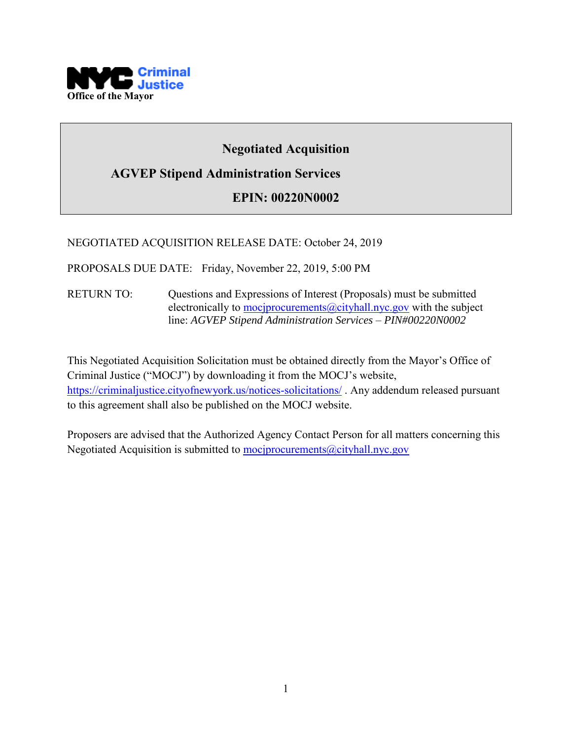

# **Negotiated Acquisition**

# **AGVEP Stipend Administration Services**

# **EPIN: 00220N0002**

#### NEGOTIATED ACQUISITION RELEASE DATE: October 24, 2019

PROPOSALS DUE DATE: Friday, November 22, 2019, 5:00 PM

RETURN TO: Questions and Expressions of Interest (Proposals) must be submitted electronically to mociprocurements@cityhall.nyc.gov with the subject line: *AGVEP Stipend Administration Services – PIN#00220N0002*

This Negotiated Acquisition Solicitation must be obtained directly from the Mayor's Office of Criminal Justice ("MOCJ") by downloading it from the MOCJ's website, <https://criminaljustice.cityofnewyork.us/notices-solicitations/> . Any addendum released pursuant to this agreement shall also be published on the MOCJ website.

Proposers are advised that the Authorized Agency Contact Person for all matters concerning this Negotiated Acquisition is submitted to mociprocurements@cityhall.nyc.gov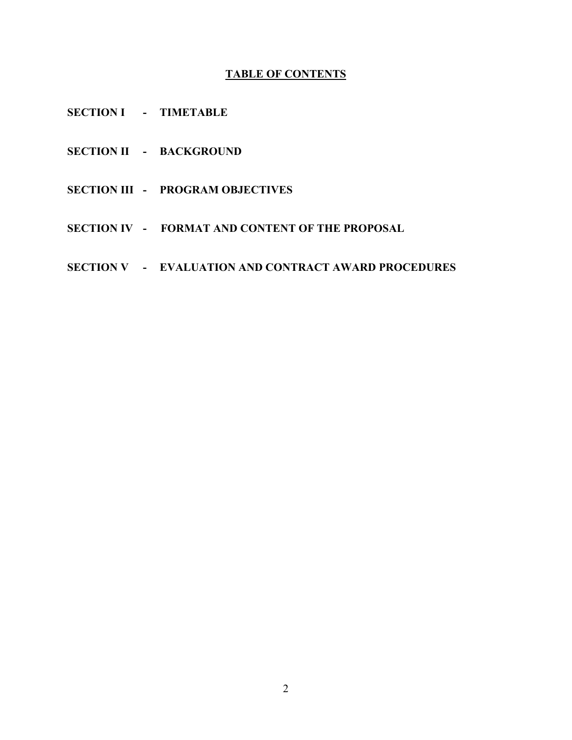# **TABLE OF CONTENTS**

- **SECTION I TIMETABLE**
- **SECTION II BACKGROUND**
- **SECTION III PROGRAM OBJECTIVES**
- **SECTION IV FORMAT AND CONTENT OF THE PROPOSAL**
- **SECTION V EVALUATION AND CONTRACT AWARD PROCEDURES**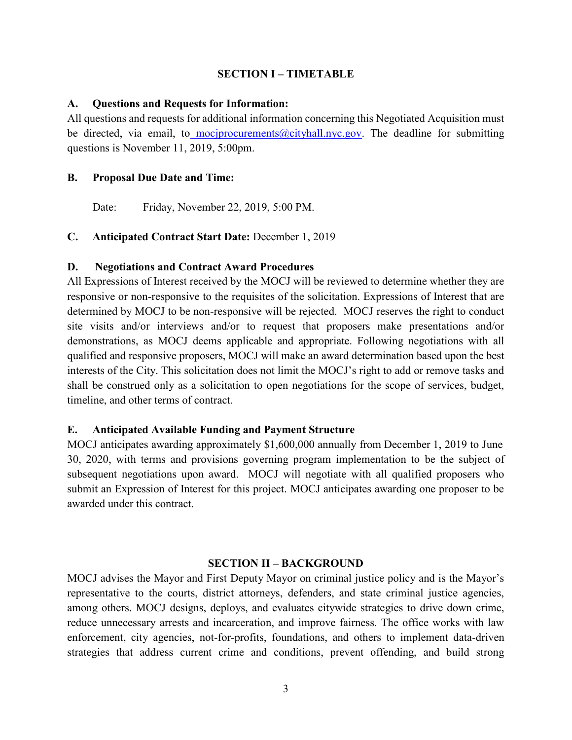#### **SECTION I – TIMETABLE**

#### **A. Questions and Requests for Information:**

All questions and requests for additional information concerning this Negotiated Acquisition must be directed, via email, to [mocjprocurements@cityhall.nyc.gov.](mailto:mocjprocurements@cityhall.nyc.gov) The deadline for submitting questions is November 11, 2019, 5:00pm.

#### **B. Proposal Due Date and Time:**

Date: Friday, November 22, 2019, 5:00 PM.

#### **C. Anticipated Contract Start Date:** December 1, 2019

# **D. Negotiations and Contract Award Procedures**

All Expressions of Interest received by the MOCJ will be reviewed to determine whether they are responsive or non-responsive to the requisites of the solicitation. Expressions of Interest that are determined by MOCJ to be non-responsive will be rejected. MOCJ reserves the right to conduct site visits and/or interviews and/or to request that proposers make presentations and/or demonstrations, as MOCJ deems applicable and appropriate. Following negotiations with all qualified and responsive proposers, MOCJ will make an award determination based upon the best interests of the City. This solicitation does not limit the MOCJ's right to add or remove tasks and shall be construed only as a solicitation to open negotiations for the scope of services, budget, timeline, and other terms of contract.

### **E. Anticipated Available Funding and Payment Structure**

MOCJ anticipates awarding approximately \$1,600,000 annually from December 1, 2019 to June 30, 2020, with terms and provisions governing program implementation to be the subject of subsequent negotiations upon award. MOCJ will negotiate with all qualified proposers who submit an Expression of Interest for this project. MOCJ anticipates awarding one proposer to be awarded under this contract.

#### **SECTION II – BACKGROUND**

MOCJ advises the Mayor and First Deputy Mayor on criminal justice policy and is the Mayor's representative to the courts, district attorneys, defenders, and state criminal justice agencies, among others. MOCJ designs, deploys, and evaluates citywide strategies to drive down crime, reduce unnecessary arrests and incarceration, and improve fairness. The office works with law enforcement, city agencies, not-for-profits, foundations, and others to implement data-driven strategies that address current crime and conditions, prevent offending, and build strong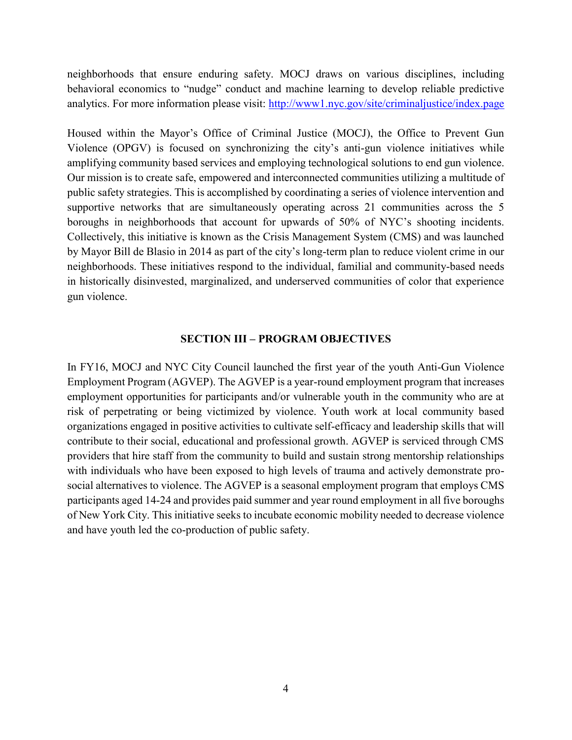neighborhoods that ensure enduring safety. MOCJ draws on various disciplines, including behavioral economics to "nudge" conduct and machine learning to develop reliable predictive analytics. For more information please visit:<http://www1.nyc.gov/site/criminaljustice/index.page>

Housed within the Mayor's Office of Criminal Justice (MOCJ), the Office to Prevent Gun Violence (OPGV) is focused on synchronizing the city's anti-gun violence initiatives while amplifying community based services and employing technological solutions to end gun violence. Our mission is to create safe, empowered and interconnected communities utilizing a multitude of public safety strategies. This is accomplished by coordinating a series of violence intervention and supportive networks that are simultaneously operating across 21 communities across the 5 boroughs in neighborhoods that account for upwards of 50% of NYC's shooting incidents. Collectively, this initiative is known as the Crisis Management System (CMS) and was launched by Mayor Bill de Blasio in 2014 as part of the city's long-term plan to reduce violent crime in our neighborhoods. These initiatives respond to the individual, familial and community-based needs in historically disinvested, marginalized, and underserved communities of color that experience gun violence.

#### **SECTION III – PROGRAM OBJECTIVES**

In FY16, MOCJ and NYC City Council launched the first year of the youth Anti-Gun Violence Employment Program (AGVEP). The AGVEP is a year-round employment program that increases employment opportunities for participants and/or vulnerable youth in the community who are at risk of perpetrating or being victimized by violence. Youth work at local community based organizations engaged in positive activities to cultivate self-efficacy and leadership skills that will contribute to their social, educational and professional growth. AGVEP is serviced through CMS providers that hire staff from the community to build and sustain strong mentorship relationships with individuals who have been exposed to high levels of trauma and actively demonstrate prosocial alternatives to violence. The AGVEP is a seasonal employment program that employs CMS participants aged 14-24 and provides paid summer and year round employment in all five boroughs of New York City. This initiative seeks to incubate economic mobility needed to decrease violence and have youth led the co-production of public safety.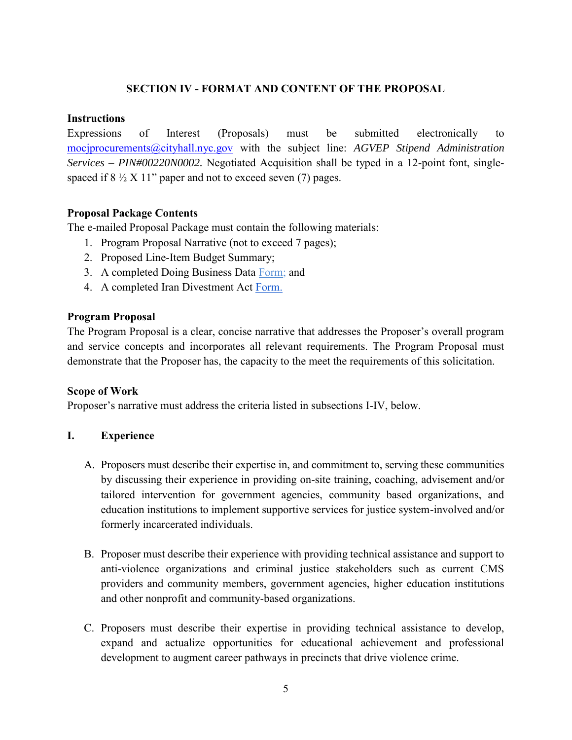# **SECTION IV - FORMAT AND CONTENT OF THE PROPOSAL**

#### **Instructions**

Expressions of Interest (Proposals) must be submitted electronically to [mocjprocurements@cityhall.nyc.gov](mailto:mocjprocurements@cityhall.nyc.gov) with the subject line: *AGVEP Stipend Administration Services – PIN#00220N0002.* Negotiated Acquisition shall be typed in a 12-point font, singlespaced if  $8\frac{1}{2}$  X 11" paper and not to exceed seven (7) pages.

### **Proposal Package Contents**

The e-mailed Proposal Package must contain the following materials:

- 1. Program Proposal Narrative (not to exceed 7 pages);
- 2. Proposed Line-Item Budget Summary;
- 3. A completed Doing Business Data [Form;](http://www.nyc.gov/html/dot/weekendwalks/downloads/pdf/doing-business-data-form-2018.pdf) and
- 4. A completed Iran Divestment Act [Form.](http://www.nyc.gov/html/prob/downloads/pdf/tech_rfp_attach_4_iran_divestment_act_rider_and_certification.pdf)

#### **Program Proposal**

The Program Proposal is a clear, concise narrative that addresses the Proposer's overall program and service concepts and incorporates all relevant requirements. The Program Proposal must demonstrate that the Proposer has, the capacity to the meet the requirements of this solicitation.

#### **Scope of Work**

Proposer's narrative must address the criteria listed in subsections I-IV, below.

### **I. Experience**

- A. Proposers must describe their expertise in, and commitment to, serving these communities by discussing their experience in providing on-site training, coaching, advisement and/or tailored intervention for government agencies, community based organizations, and education institutions to implement supportive services for justice system-involved and/or formerly incarcerated individuals.
- B. Proposer must describe their experience with providing technical assistance and support to anti-violence organizations and criminal justice stakeholders such as current CMS providers and community members, government agencies, higher education institutions and other nonprofit and community-based organizations.
- C. Proposers must describe their expertise in providing technical assistance to develop, expand and actualize opportunities for educational achievement and professional development to augment career pathways in precincts that drive violence crime.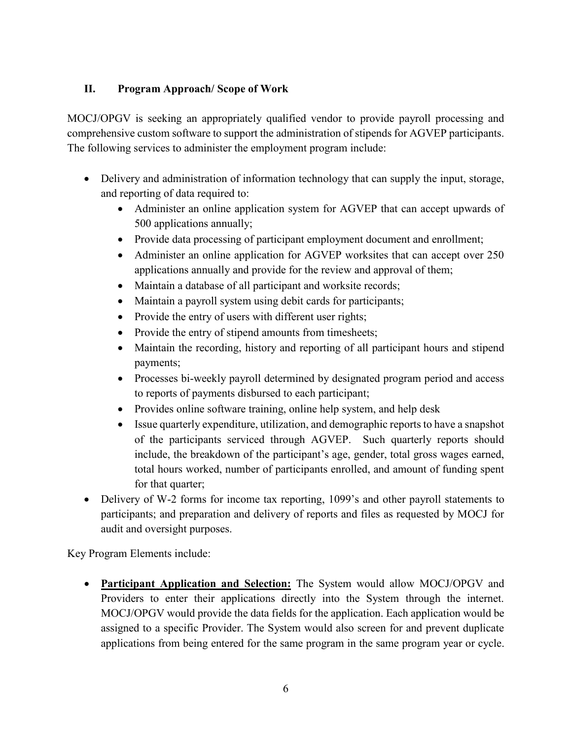# **II. Program Approach/ Scope of Work**

MOCJ/OPGV is seeking an appropriately qualified vendor to provide payroll processing and comprehensive custom software to support the administration of stipends for AGVEP participants. The following services to administer the employment program include:

- Delivery and administration of information technology that can supply the input, storage, and reporting of data required to:
	- Administer an online application system for AGVEP that can accept upwards of 500 applications annually;
	- Provide data processing of participant employment document and enrollment;
	- Administer an online application for AGVEP worksites that can accept over 250 applications annually and provide for the review and approval of them;
	- Maintain a database of all participant and worksite records;
	- Maintain a payroll system using debit cards for participants;
	- Provide the entry of users with different user rights;
	- Provide the entry of stipend amounts from timesheets;
	- Maintain the recording, history and reporting of all participant hours and stipend payments;
	- Processes bi-weekly payroll determined by designated program period and access to reports of payments disbursed to each participant;
	- Provides online software training, online help system, and help desk
	- Issue quarterly expenditure, utilization, and demographic reports to have a snapshot of the participants serviced through AGVEP. Such quarterly reports should include, the breakdown of the participant's age, gender, total gross wages earned, total hours worked, number of participants enrolled, and amount of funding spent for that quarter;
- Delivery of W-2 forms for income tax reporting, 1099's and other payroll statements to participants; and preparation and delivery of reports and files as requested by MOCJ for audit and oversight purposes.

Key Program Elements include:

 **Participant Application and Selection:** The System would allow MOCJ/OPGV and Providers to enter their applications directly into the System through the internet. MOCJ/OPGV would provide the data fields for the application. Each application would be assigned to a specific Provider. The System would also screen for and prevent duplicate applications from being entered for the same program in the same program year or cycle.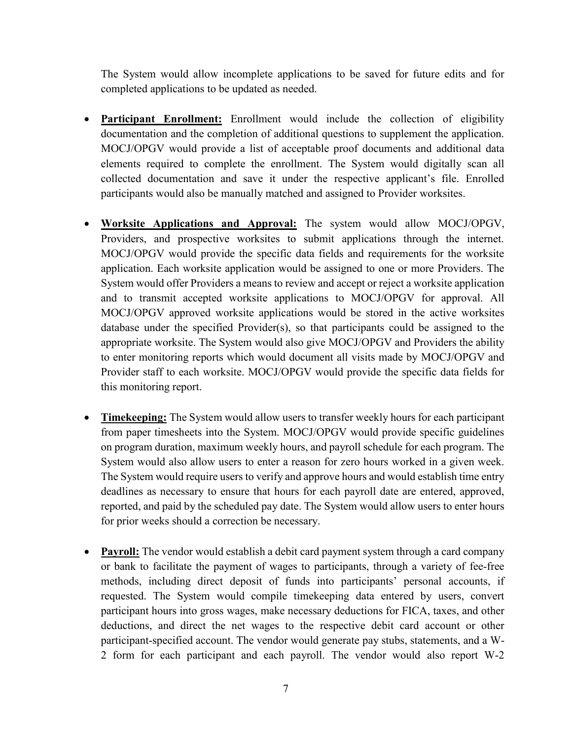The System would allow incomplete applications to be saved for future edits and for completed applications to be updated as needed.

- **Participant Enrollment:** Enrollment would include the collection of eligibility documentation and the completion of additional questions to supplement the application. MOCJ/OPGV would provide a list of acceptable proof documents and additional data elements required to complete the enrollment. The System would digitally scan all collected documentation and save it under the respective applicant's file. Enrolled participants would also be manually matched and assigned to Provider worksites.
- **Worksite Applications and Approval:** The system would allow MOCJ/OPGV, Providers, and prospective worksites to submit applications through the internet. MOCJ/OPGV would provide the specific data fields and requirements for the worksite application. Each worksite application would be assigned to one or more Providers. The System would offer Providers a means to review and accept or reject a worksite application and to transmit accepted worksite applications to MOCJ/OPGV for approval. All MOCJ/OPGV approved worksite applications would be stored in the active worksites database under the specified Provider(s), so that participants could be assigned to the appropriate worksite. The System would also give MOCJ/OPGV and Providers the ability to enter monitoring reports which would document all visits made by MOCJ/OPGV and Provider staff to each worksite. MOCJ/OPGV would provide the specific data fields for this monitoring report.
- **Timekeeping:** The System would allow users to transfer weekly hours for each participant from paper timesheets into the System. MOCJ/OPGV would provide specific guidelines on program duration, maximum weekly hours, and payroll schedule for each program. The System would also allow users to enter a reason for zero hours worked in a given week. The System would require users to verify and approve hours and would establish time entry deadlines as necessary to ensure that hours for each payroll date are entered, approved, reported, and paid by the scheduled pay date. The System would allow users to enter hours for prior weeks should a correction be necessary.
- Payroll: The vendor would establish a debit card payment system through a card company or bank to facilitate the payment of wages to participants, through a variety of fee-free methods, including direct deposit of funds into participants' personal accounts, if requested. The System would compile timekeeping data entered by users, convert participant hours into gross wages, make necessary deductions for FICA, taxes, and other deductions, and direct the net wages to the respective debit card account or other participant-specified account. The vendor would generate pay stubs, statements, and a W-2 form for each participant and each payroll. The vendor would also report W-2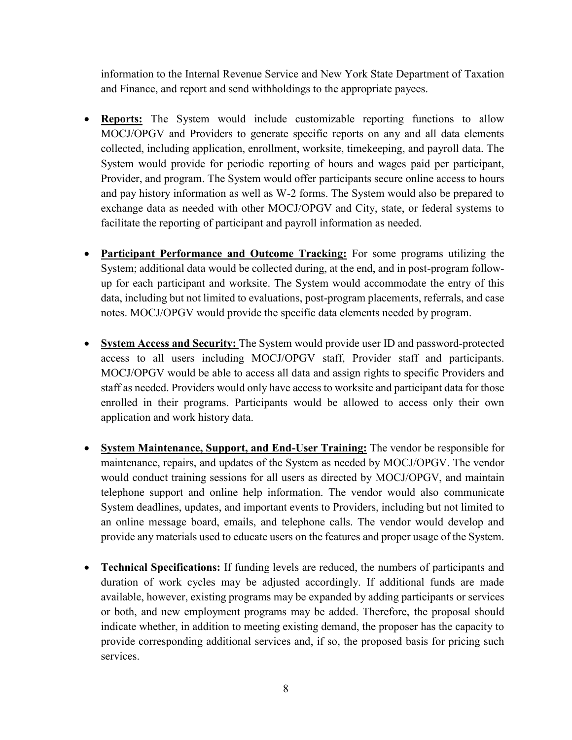information to the Internal Revenue Service and New York State Department of Taxation and Finance, and report and send withholdings to the appropriate payees.

- **Reports:** The System would include customizable reporting functions to allow MOCJ/OPGV and Providers to generate specific reports on any and all data elements collected, including application, enrollment, worksite, timekeeping, and payroll data. The System would provide for periodic reporting of hours and wages paid per participant, Provider, and program. The System would offer participants secure online access to hours and pay history information as well as W-2 forms. The System would also be prepared to exchange data as needed with other MOCJ/OPGV and City, state, or federal systems to facilitate the reporting of participant and payroll information as needed.
- **Participant Performance and Outcome Tracking:** For some programs utilizing the System; additional data would be collected during, at the end, and in post-program followup for each participant and worksite. The System would accommodate the entry of this data, including but not limited to evaluations, post-program placements, referrals, and case notes. MOCJ/OPGV would provide the specific data elements needed by program.
- **System Access and Security:** The System would provide user ID and password-protected access to all users including MOCJ/OPGV staff, Provider staff and participants. MOCJ/OPGV would be able to access all data and assign rights to specific Providers and staff as needed. Providers would only have access to worksite and participant data for those enrolled in their programs. Participants would be allowed to access only their own application and work history data.
- **System Maintenance, Support, and End-User Training:** The vendor be responsible for maintenance, repairs, and updates of the System as needed by MOCJ/OPGV. The vendor would conduct training sessions for all users as directed by MOCJ/OPGV, and maintain telephone support and online help information. The vendor would also communicate System deadlines, updates, and important events to Providers, including but not limited to an online message board, emails, and telephone calls. The vendor would develop and provide any materials used to educate users on the features and proper usage of the System.
- **Technical Specifications:** If funding levels are reduced, the numbers of participants and duration of work cycles may be adjusted accordingly. If additional funds are made available, however, existing programs may be expanded by adding participants or services or both, and new employment programs may be added. Therefore, the proposal should indicate whether, in addition to meeting existing demand, the proposer has the capacity to provide corresponding additional services and, if so, the proposed basis for pricing such services.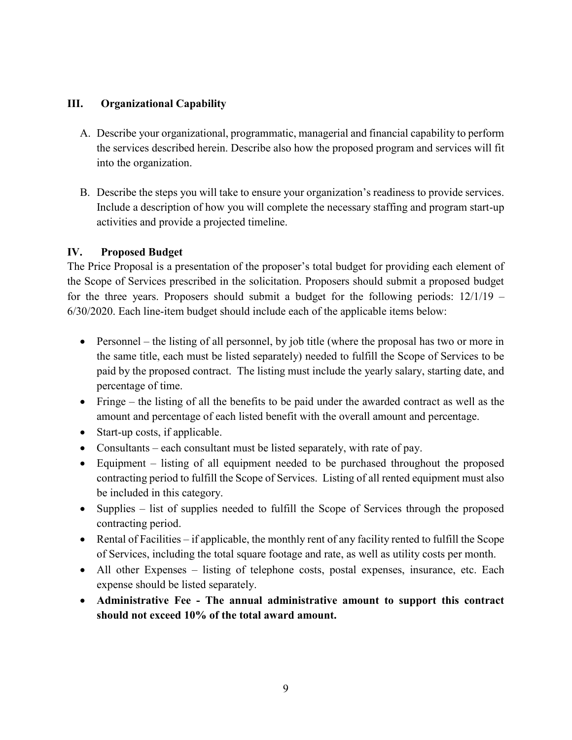# **III. Organizational Capability**

- A. Describe your organizational, programmatic, managerial and financial capability to perform the services described herein. Describe also how the proposed program and services will fit into the organization.
- B. Describe the steps you will take to ensure your organization's readiness to provide services. Include a description of how you will complete the necessary staffing and program start-up activities and provide a projected timeline.

# **IV. Proposed Budget**

The Price Proposal is a presentation of the proposer's total budget for providing each element of the Scope of Services prescribed in the solicitation. Proposers should submit a proposed budget for the three years. Proposers should submit a budget for the following periods: 12/1/19 – 6/30/2020. Each line-item budget should include each of the applicable items below:

- Personnel the listing of all personnel, by job title (where the proposal has two or more in the same title, each must be listed separately) needed to fulfill the Scope of Services to be paid by the proposed contract. The listing must include the yearly salary, starting date, and percentage of time.
- Fringe the listing of all the benefits to be paid under the awarded contract as well as the amount and percentage of each listed benefit with the overall amount and percentage.
- Start-up costs, if applicable.
- Consultants each consultant must be listed separately, with rate of pay.
- Equipment listing of all equipment needed to be purchased throughout the proposed contracting period to fulfill the Scope of Services. Listing of all rented equipment must also be included in this category.
- Supplies list of supplies needed to fulfill the Scope of Services through the proposed contracting period.
- Rental of Facilities if applicable, the monthly rent of any facility rented to fulfill the Scope of Services, including the total square footage and rate, as well as utility costs per month.
- All other Expenses listing of telephone costs, postal expenses, insurance, etc. Each expense should be listed separately.
- **Administrative Fee The annual administrative amount to support this contract should not exceed 10% of the total award amount.**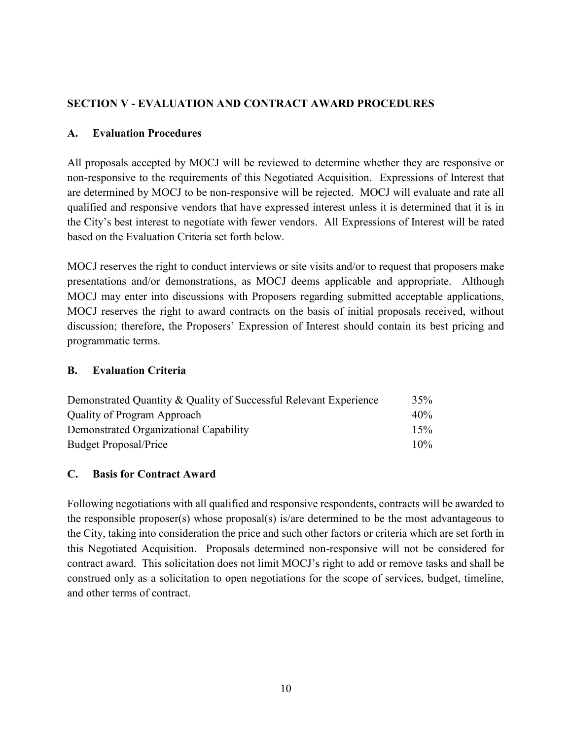# **SECTION V - EVALUATION AND CONTRACT AWARD PROCEDURES**

### **A. Evaluation Procedures**

All proposals accepted by MOCJ will be reviewed to determine whether they are responsive or non-responsive to the requirements of this Negotiated Acquisition. Expressions of Interest that are determined by MOCJ to be non-responsive will be rejected. MOCJ will evaluate and rate all qualified and responsive vendors that have expressed interest unless it is determined that it is in the City's best interest to negotiate with fewer vendors. All Expressions of Interest will be rated based on the Evaluation Criteria set forth below.

MOCJ reserves the right to conduct interviews or site visits and/or to request that proposers make presentations and/or demonstrations, as MOCJ deems applicable and appropriate. Although MOCJ may enter into discussions with Proposers regarding submitted acceptable applications, MOCJ reserves the right to award contracts on the basis of initial proposals received, without discussion; therefore, the Proposers' Expression of Interest should contain its best pricing and programmatic terms.

#### **B. Evaluation Criteria**

| Demonstrated Quantity & Quality of Successful Relevant Experience<br>Quality of Program Approach<br>Demonstrated Organizational Capability<br><b>Budget Proposal/Price</b> | 35%<br>40%<br>15%<br>$10\%$ |
|----------------------------------------------------------------------------------------------------------------------------------------------------------------------------|-----------------------------|
|----------------------------------------------------------------------------------------------------------------------------------------------------------------------------|-----------------------------|

### **C. Basis for Contract Award**

Following negotiations with all qualified and responsive respondents, contracts will be awarded to the responsible proposer(s) whose proposal(s) is/are determined to be the most advantageous to the City, taking into consideration the price and such other factors or criteria which are set forth in this Negotiated Acquisition. Proposals determined non-responsive will not be considered for contract award. This solicitation does not limit MOCJ's right to add or remove tasks and shall be construed only as a solicitation to open negotiations for the scope of services, budget, timeline, and other terms of contract.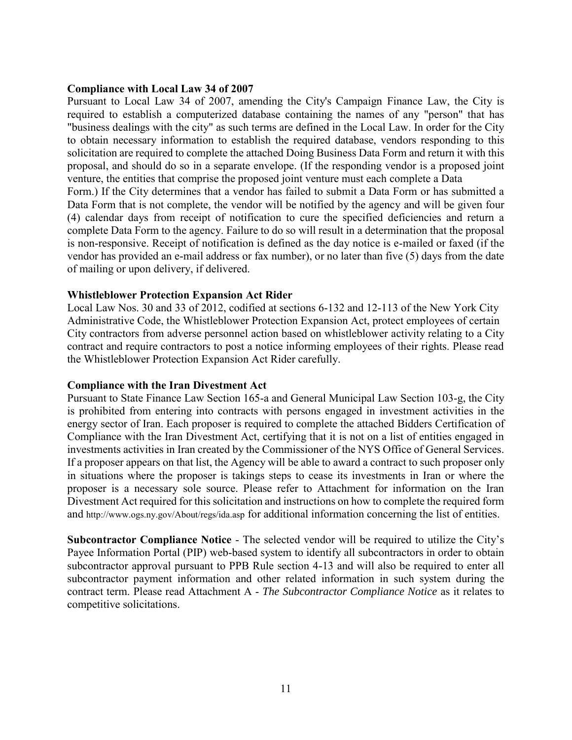#### **Compliance with Local Law 34 of 2007**

Pursuant to Local Law 34 of 2007, amending the City's Campaign Finance Law, the City is required to establish a computerized database containing the names of any "person" that has "business dealings with the city" as such terms are defined in the Local Law. In order for the City to obtain necessary information to establish the required database, vendors responding to this solicitation are required to complete the attached Doing Business Data Form and return it with this proposal, and should do so in a separate envelope. (If the responding vendor is a proposed joint venture, the entities that comprise the proposed joint venture must each complete a Data Form.) If the City determines that a vendor has failed to submit a Data Form or has submitted a Data Form that is not complete, the vendor will be notified by the agency and will be given four (4) calendar days from receipt of notification to cure the specified deficiencies and return a complete Data Form to the agency. Failure to do so will result in a determination that the proposal is non-responsive. Receipt of notification is defined as the day notice is e-mailed or faxed (if the vendor has provided an e-mail address or fax number), or no later than five (5) days from the date of mailing or upon delivery, if delivered.

#### **Whistleblower Protection Expansion Act Rider**

Local Law Nos. 30 and 33 of 2012, codified at sections 6-132 and 12-113 of the New York City Administrative Code, the Whistleblower Protection Expansion Act, protect employees of certain City contractors from adverse personnel action based on whistleblower activity relating to a City contract and require contractors to post a notice informing employees of their rights. Please read the Whistleblower Protection Expansion Act Rider carefully.

#### **Compliance with the Iran Divestment Act**

Pursuant to State Finance Law Section 165-a and General Municipal Law Section 103-g, the City is prohibited from entering into contracts with persons engaged in investment activities in the energy sector of Iran. Each proposer is required to complete the attached Bidders Certification of Compliance with the Iran Divestment Act, certifying that it is not on a list of entities engaged in investments activities in Iran created by the Commissioner of the NYS Office of General Services. If a proposer appears on that list, the Agency will be able to award a contract to such proposer only in situations where the proposer is takings steps to cease its investments in Iran or where the proposer is a necessary sole source. Please refer to Attachment for information on the Iran Divestment Act required for this solicitation and instructions on how to complete the required form and http://www.ogs.ny.gov/About/regs/ida.asp for additional information concerning the list of entities.

**Subcontractor Compliance Notice** - The selected vendor will be required to utilize the City's Payee Information Portal (PIP) web-based system to identify all subcontractors in order to obtain subcontractor approval pursuant to PPB Rule section 4-13 and will also be required to enter all subcontractor payment information and other related information in such system during the contract term. Please read Attachment A - *The Subcontractor Compliance Notice* as it relates to competitive solicitations.